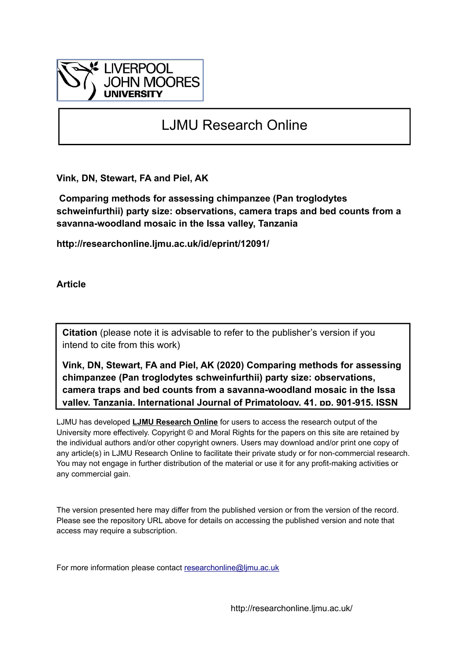

# LJMU Research Online

**Vink, DN, Stewart, FA and Piel, AK**

 **Comparing methods for assessing chimpanzee (Pan troglodytes schweinfurthii) party size: observations, camera traps and bed counts from a savanna-woodland mosaic in the Issa valley, Tanzania**

**http://researchonline.ljmu.ac.uk/id/eprint/12091/**

**Article**

**Citation** (please note it is advisable to refer to the publisher's version if you intend to cite from this work)

**Vink, DN, Stewart, FA and Piel, AK (2020) Comparing methods for assessing chimpanzee (Pan troglodytes schweinfurthii) party size: observations, camera traps and bed counts from a savanna-woodland mosaic in the Issa valley, Tanzania. International Journal of Primatology, 41. pp. 901-915. ISSN** 

LJMU has developed **[LJMU Research Online](http://researchonline.ljmu.ac.uk/)** for users to access the research output of the University more effectively. Copyright © and Moral Rights for the papers on this site are retained by the individual authors and/or other copyright owners. Users may download and/or print one copy of any article(s) in LJMU Research Online to facilitate their private study or for non-commercial research. You may not engage in further distribution of the material or use it for any profit-making activities or any commercial gain.

The version presented here may differ from the published version or from the version of the record. Please see the repository URL above for details on accessing the published version and note that access may require a subscription.

For more information please contact researchonline@limu.ac.uk

http://researchonline.ljmu.ac.uk/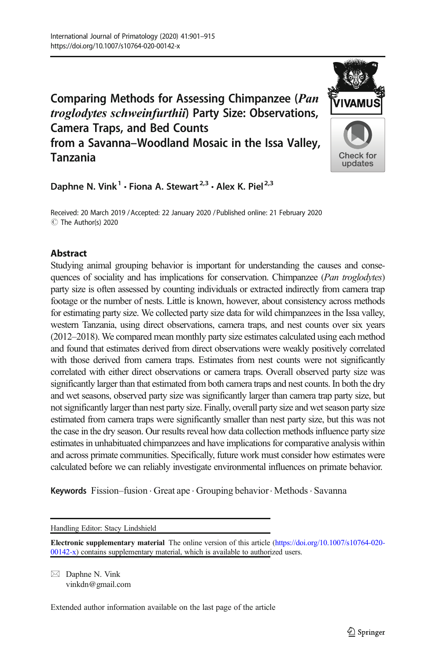## Comparing Methods for Assessing Chimpanzee (Pan troglodytes schweinfurthii) Party Size: Observations, Camera Traps, and Bed Counts from a Savanna–Woodland Mosaic in the Issa Valley, Tanzania



Daphne N. Vink<sup>1</sup> · Fiona A. Stewart<sup>2,3</sup> · Alex K. Piel<sup>2,3</sup>

Received: 20 March 2019 / Accepted: 22 January 2020 /Published online: 21 February 2020C The Author(s) 2020

#### Abstract

Studying animal grouping behavior is important for understanding the causes and consequences of sociality and has implications for conservation. Chimpanzee (Pan troglodytes) party size is often assessed by counting individuals or extracted indirectly from camera trap footage or the number of nests. Little is known, however, about consistency across methods for estimating party size. We collected party size data for wild chimpanzees in the Issa valley, western Tanzania, using direct observations, camera traps, and nest counts over six years (2012–2018). We compared mean monthly party size estimates calculated using each method and found that estimates derived from direct observations were weakly positively correlated with those derived from camera traps. Estimates from nest counts were not significantly correlated with either direct observations or camera traps. Overall observed party size was significantly larger than that estimated from both camera traps and nest counts. In both the dry and wet seasons, observed party size was significantly larger than camera trap party size, but not significantly larger than nest party size. Finally, overall party size and wet season party size estimated from camera traps were significantly smaller than nest party size, but this was not the case in the dry season. Our results reveal how data collection methods influence party size estimates in unhabituated chimpanzees and have implications for comparative analysis within and across primate communities. Specifically, future work must consider how estimates were calculated before we can reliably investigate environmental influences on primate behavior.

Keywords Fission–fusion · Great ape · Grouping behavior · Methods · Savanna

Handling Editor: Stacy Lindshield

Electronic supplementary material The online version of this article [\(https://doi.org/10.1007/s10764-020-](http://creativecommons.org/licenses/by/4.0/) [00142-x\)](http://creativecommons.org/licenses/by/4.0/) contains supplementary material, which is available to authorized users.

 $\boxtimes$  Daphne N. Vink [vinkdn@gmail.com](mailto:vinkdn@gmail.com)

Extended author information available on the last page of the article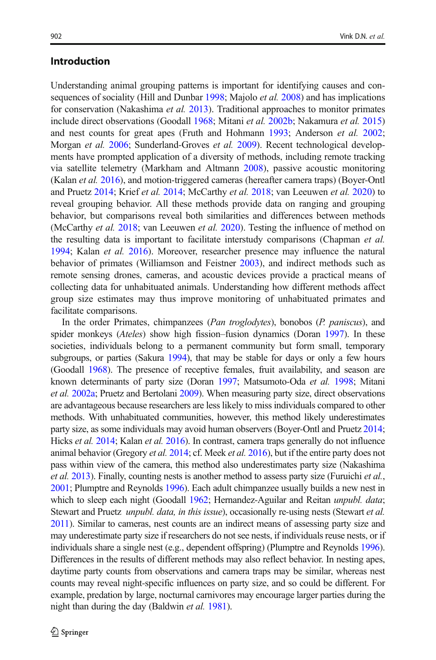#### Introduction

Understanding animal grouping patterns is important for identifying causes and con-sequences of sociality (Hill and Dunbar [1998](#page-13-0); Majolo *et al.* [2008](#page-14-0)) and has implications for conservation (Nakashima et al. [2013](#page-14-0)). Traditional approaches to monitor primates include direct observations (Goodall [1968;](#page-13-0) Mitani et al. [2002b](#page-14-0); Nakamura et al. [2015](#page-14-0)) and nest counts for great apes (Fruth and Hohmann [1993;](#page-13-0) Anderson *et al.* [2002;](#page-13-0) Morgan et al. [2006](#page-14-0); Sunderland-Groves et al. [2009\)](#page-14-0). Recent technological developments have prompted application of a diversity of methods, including remote tracking via satellite telemetry (Markham and Altmann [2008](#page-14-0)), passive acoustic monitoring (Kalan et al. [2016\)](#page-13-0), and motion-triggered cameras (hereafter camera traps) (Boyer-Ontl and Pruetz [2014;](#page-13-0) Krief et al. [2014](#page-13-0); McCarthy et al. [2018](#page-14-0); van Leeuwen et al. [2020\)](#page-13-0) to reveal grouping behavior. All these methods provide data on ranging and grouping behavior, but comparisons reveal both similarities and differences between methods (McCarthy *et al.* [2018;](#page-14-0) van Leeuwen *et al.* [2020](#page-13-0)). Testing the influence of method on the resulting data is important to facilitate interstudy comparisons (Chapman *et al.*) [1994;](#page-13-0) Kalan et al. [2016](#page-13-0)). Moreover, researcher presence may influence the natural behavior of primates (Williamson and Feistner [2003](#page-15-0)), and indirect methods such as remote sensing drones, cameras, and acoustic devices provide a practical means of collecting data for unhabituated animals. Understanding how different methods affect group size estimates may thus improve monitoring of unhabituated primates and facilitate comparisons.

In the order Primates, chimpanzees (Pan troglodytes), bonobos (P. paniscus), and spider monkeys (*Ateles*) show high fission–fusion dynamics (Doran [1997\)](#page-13-0). In these societies, individuals belong to a permanent community but form small, temporary subgroups, or parties (Sakura [1994](#page-14-0)), that may be stable for days or only a few hours (Goodall [1968](#page-13-0)). The presence of receptive females, fruit availability, and season are known determinants of party size (Doran [1997;](#page-13-0) Matsumoto-Oda et al. [1998](#page-14-0); Mitani et al. [2002a;](#page-14-0) Pruetz and Bertolani [2009](#page-14-0)). When measuring party size, direct observations are advantageous because researchers are less likely to miss individuals compared to other methods. With unhabituated communities, however, this method likely underestimates party size, as some individuals may avoid human observers (Boyer-Ontl and Pruetz [2014;](#page-13-0) Hicks et al. [2014;](#page-13-0) Kalan et al. [2016](#page-13-0)). In contrast, camera traps generally do not influence animal behavior (Gregory *et al.* [2014;](#page-13-0) cf. Meek *et al.* [2016](#page-14-0)), but if the entire party does not pass within view of the camera, this method also underestimates party size (Nakashima et al. [2013](#page-14-0)). Finally, counting nests is another method to assess party size (Furuichi et al., [2001](#page-13-0); Plumptre and Reynolds [1996\)](#page-14-0). Each adult chimpanzee usually builds a new nest in which to sleep each night (Goodall [1962;](#page-13-0) Hernandez-Aguilar and Reitan unpubl. data; Stewart and Pruetz *unpubl. data, in this issue*), occasionally re-using nests (Stewart et al. [2011\)](#page-14-0). Similar to cameras, nest counts are an indirect means of assessing party size and may underestimate party size if researchers do not see nests, if individuals reuse nests, or if individuals share a single nest (e.g., dependent offspring) (Plumptre and Reynolds [1996\)](#page-14-0). Differences in the results of different methods may also reflect behavior. In nesting apes, daytime party counts from observations and camera traps may be similar, whereas nest counts may reveal night-specific influences on party size, and so could be different. For example, predation by large, nocturnal carnivores may encourage larger parties during the night than during the day (Baldwin et al. [1981\)](#page-13-0).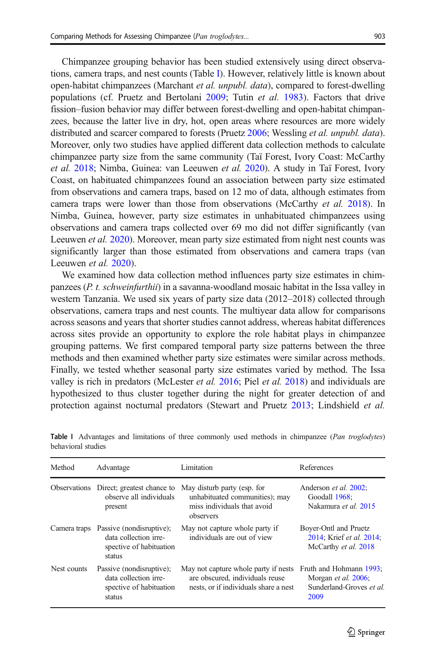Chimpanzee grouping behavior has been studied extensively using direct observations, camera traps, and nest counts (Table I). However, relatively little is known about open-habitat chimpanzees (Marchant et al. unpubl. data), compared to forest-dwelling populations (cf. Pruetz and Bertolani [2009;](#page-14-0) Tutin et al. [1983\)](#page-14-0). Factors that drive fission–fusion behavior may differ between forest-dwelling and open-habitat chimpanzees, because the latter live in dry, hot, open areas where resources are more widely distributed and scarcer compared to forests (Pruetz [2006](#page-14-0); Wessling *et al. unpubl. data*). Moreover, only two studies have applied different data collection methods to calculate chimpanzee party size from the same community (Taï Forest, Ivory Coast: McCarthy et al. [2018](#page-14-0); Nimba, Guinea: van Leeuwen et al. [2020\)](#page-13-0). A study in Taï Forest, Ivory Coast, on habituated chimpanzees found an association between party size estimated from observations and camera traps, based on 12 mo of data, although estimates from camera traps were lower than those from observations (McCarthy et al. [2018](#page-14-0)). In Nimba, Guinea, however, party size estimates in unhabituated chimpanzees using observations and camera traps collected over 69 mo did not differ significantly (van Leeuwen *et al.* [2020](#page-13-0)). Moreover, mean party size estimated from night nest counts was significantly larger than those estimated from observations and camera traps (van Leeuwen et al. [2020\)](#page-13-0).

We examined how data collection method influences party size estimates in chimpanzees (P. t. schweinfurthii) in a savanna-woodland mosaic habitat in the Issa valley in western Tanzania. We used six years of party size data (2012–2018) collected through observations, camera traps and nest counts. The multiyear data allow for comparisons across seasons and years that shorter studies cannot address, whereas habitat differences across sites provide an opportunity to explore the role habitat plays in chimpanzee grouping patterns. We first compared temporal party size patterns between the three methods and then examined whether party size estimates were similar across methods. Finally, we tested whether seasonal party size estimates varied by method. The Issa valley is rich in predators (McLester et al. [2016;](#page-14-0) Piel et al. [2018\)](#page-14-0) and individuals are hypothesized to thus cluster together during the night for greater detection of and protection against nocturnal predators (Stewart and Pruetz [2013;](#page-14-0) Lindshield et al.

| Method       | Advantage                                                                              | Limitation                                                                                                       | References                                                                                |
|--------------|----------------------------------------------------------------------------------------|------------------------------------------------------------------------------------------------------------------|-------------------------------------------------------------------------------------------|
|              | Observations Direct; greatest chance to<br>observe all individuals<br>present          | May disturb party (esp. for<br>unhabituated communities); may<br>miss individuals that avoid<br>observers        | Anderson et al. 2002;<br>Goodall 1968:<br>Nakamura et al. 2015                            |
| Camera traps | Passive (nondisruptive);<br>data collection irre-<br>spective of habituation<br>status | May not capture whole party if<br>individuals are out of view                                                    | Boyer-Ontl and Pruetz<br>2014; Krief et al. 2014;<br>McCarthy et al. 2018                 |
| Nest counts  | Passive (nondisruptive);<br>data collection irre-<br>spective of habituation<br>status | May not capture whole party if nests<br>are obscured, individuals reuse<br>nests, or if individuals share a nest | Fruth and Hohmann 1993;<br>Morgan <i>et al.</i> 2006;<br>Sunderland-Groves et al.<br>2009 |

Table I Advantages and limitations of three commonly used methods in chimpanzee (Pan troglodytes) behavioral studies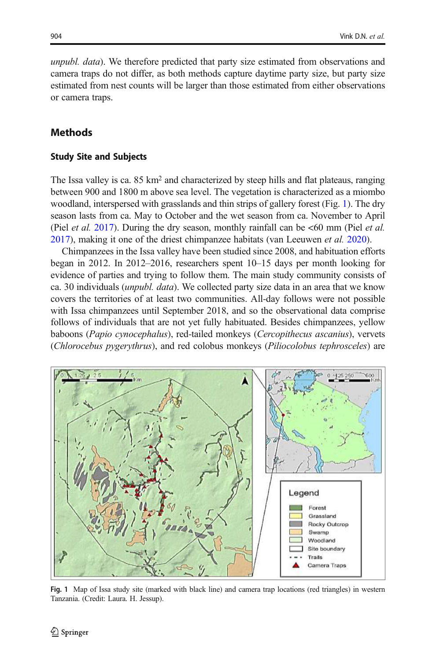<span id="page-4-0"></span>unpubl. data). We therefore predicted that party size estimated from observations and camera traps do not differ, as both methods capture daytime party size, but party size estimated from nest counts will be larger than those estimated from either observations or camera traps.

#### **Methods**

#### Study Site and Subjects

The Issa valley is ca.  $85 \text{ km}^2$  and characterized by steep hills and flat plateaus, ranging between 900 and 1800 m above sea level. The vegetation is characterized as a miombo woodland, interspersed with grasslands and thin strips of gallery forest (Fig. 1). The dry season lasts from ca. May to October and the wet season from ca. November to April (Piel *et al.* [2017\)](#page-14-0). During the dry season, monthly rainfall can be  $\lt 60$  mm (Piel *et al.*) [2017\)](#page-14-0), making it one of the driest chimpanzee habitats (van Leeuwen et al. [2020\)](#page-13-0).

Chimpanzees in the Issa valley have been studied since 2008, and habituation efforts began in 2012. In 2012–2016, researchers spent 10–15 days per month looking for evidence of parties and trying to follow them. The main study community consists of ca. 30 individuals (unpubl. data). We collected party size data in an area that we know covers the territories of at least two communities. All-day follows were not possible with Issa chimpanzees until September 2018, and so the observational data comprise follows of individuals that are not yet fully habituated. Besides chimpanzees, yellow baboons (Papio cynocephalus), red-tailed monkeys (Cercopithecus ascanius), vervets (Chlorocebus pygerythrus), and red colobus monkeys (Piliocolobus tephrosceles) are



Fig. 1 Map of Issa study site (marked with black line) and camera trap locations (red triangles) in western Tanzania. (Credit: Laura. H. Jessup).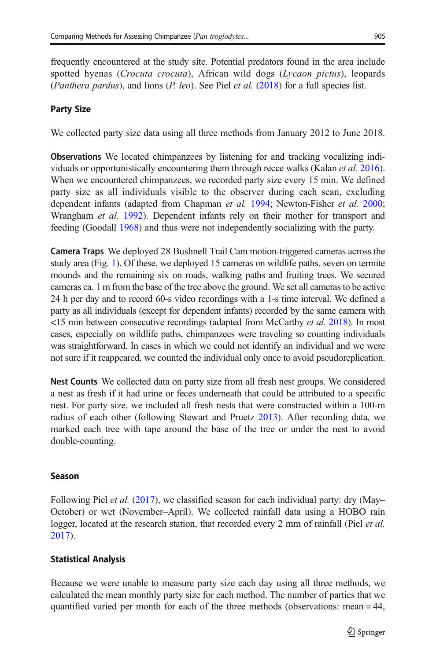frequently encountered at the study site. Potential predators found in the area include spotted hyenas (*Crocuta crocuta*), African wild dogs (*Lycaon pictus*), leopards (Panthera pardus), and lions (P. leo). See Piel et al.  $(2018)$  for a full species list.

#### Party Size

We collected party size data using all three methods from January 2012 to June 2018.

Observations We located chimpanzees by listening for and tracking vocalizing indi-viduals or opportunistically encountering them through recce walks (Kalan et al. [2016\)](#page-13-0). When we encountered chimpanzees, we recorded party size every 15 min. We defined party size as all individuals visible to the observer during each scan, excluding dependent infants (adapted from Chapman et al. [1994](#page-13-0); Newton-Fisher et al. [2000;](#page-14-0) Wrangham et al. [1992](#page-15-0)). Dependent infants rely on their mother for transport and feeding (Goodall [1968\)](#page-13-0) and thus were not independently socializing with the party.

Camera Traps We deployed 28 Bushnell Trail Cam motion-triggered cameras across the study area (Fig. [1](#page-4-0)). Of these, we deployed 15 cameras on wildlife paths, seven on termite mounds and the remaining six on roads, walking paths and fruiting trees. We secured cameras ca. 1 m from the base of the tree above the ground. We set all cameras to be active 24 h per day and to record 60-s video recordings with a 1-s time interval. We defined a party as all individuals (except for dependent infants) recorded by the same camera with <15 min between consecutive recordings (adapted from McCarthy et al. [2018\)](#page-14-0). In most cases, especially on wildlife paths, chimpanzees were traveling so counting individuals was straightforward. In cases in which we could not identify an individual and we were not sure if it reappeared, we counted the individual only once to avoid pseudoreplication.

Nest Counts We collected data on party size from all fresh nest groups. We considered a nest as fresh if it had urine or feces underneath that could be attributed to a specific nest. For party size, we included all fresh nests that were constructed within a 100-m radius of each other (following Stewart and Pruetz [2013\)](#page-14-0). After recording data, we marked each tree with tape around the base of the tree or under the nest to avoid double-counting.

#### Season

Following Piel *et al.* [\(2017](#page-14-0)), we classified season for each individual party: dry (May– October) or wet (November–April). We collected rainfall data using a HOBO rain logger, located at the research station, that recorded every 2 mm of rainfall (Piel *et al.*) [2017\)](#page-14-0).

#### Statistical Analysis

Because we were unable to measure party size each day using all three methods, we calculated the mean monthly party size for each method. The number of parties that we quantified varied per month for each of the three methods (observations: mean = 44,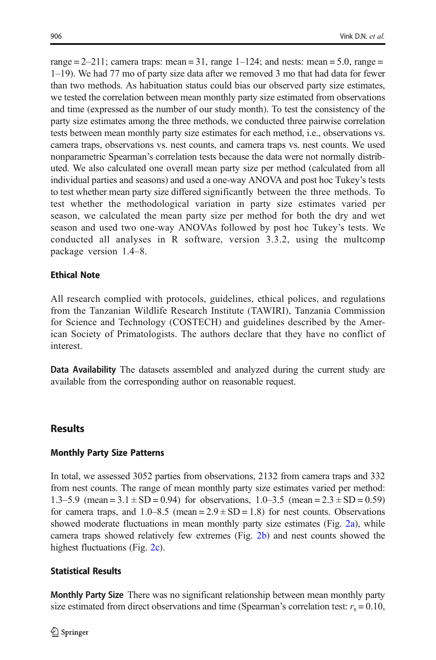range  $= 2-211$ ; camera traps: mean  $= 31$ , range  $1-124$ ; and nests: mean  $= 5.0$ , range  $=$ 1–19). We had 77 mo of party size data after we removed 3 mo that had data for fewer than two methods. As habituation status could bias our observed party size estimates, we tested the correlation between mean monthly party size estimated from observations and time (expressed as the number of our study month). To test the consistency of the party size estimates among the three methods, we conducted three pairwise correlation tests between mean monthly party size estimates for each method, i.e., observations vs. camera traps, observations vs. nest counts, and camera traps vs. nest counts. We used nonparametric Spearman's correlation tests because the data were not normally distributed. We also calculated one overall mean party size per method (calculated from all individual parties and seasons) and used a one-way ANOVA and post hoc Tukey's tests to test whether mean party size differed significantly between the three methods. To

test whether the methodological variation in party size estimates varied per season, we calculated the mean party size per method for both the dry and wet season and used two one-way ANOVAs followed by post hoc Tukey's tests. We conducted all analyses in R software, version 3.3.2, using the multcomp package version 1.4–8.

#### Ethical Note

All research complied with protocols, guidelines, ethical polices, and regulations from the Tanzanian Wildlife Research Institute (TAWIRI), Tanzania Commission for Science and Technology (COSTECH) and guidelines described by the American Society of Primatologists. The authors declare that they have no conflict of interest.

Data Availability The datasets assembled and analyzed during the current study are available from the corresponding author on reasonable request.

#### **Results**

#### Monthly Party Size Patterns

In total, we assessed 3052 parties from observations, 2132 from camera traps and 332 from nest counts. The range of mean monthly party size estimates varied per method: 1.3–5.9 (mean =  $3.1 \pm SD = 0.94$ ) for observations, 1.0–3.5 (mean =  $2.3 \pm SD = 0.59$ ) for camera traps, and  $1.0-8.5$  (mean  $= 2.9 \pm SD = 1.8$ ) for nest counts. Observations showed moderate fluctuations in mean monthly party size estimates (Fig. [2a\)](#page-7-0), while camera traps showed relatively few extremes (Fig. [2b\)](#page-7-0) and nest counts showed the highest fluctuations (Fig. [2c\)](#page-7-0).

#### Statistical Results

Monthly Party Size There was no significant relationship between mean monthly party size estimated from direct observations and time (Spearman's correlation test:  $r_s = 0.10$ ,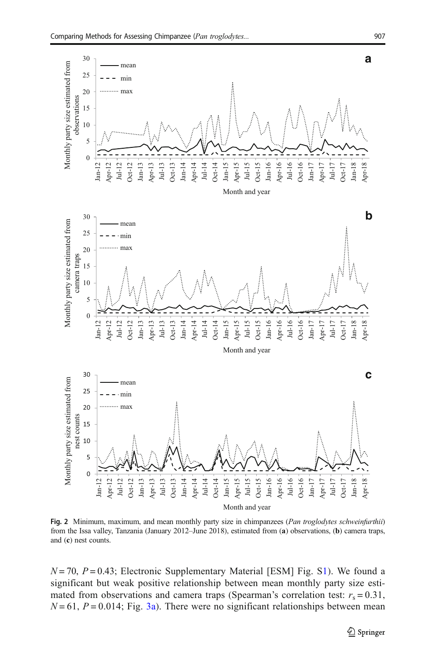<span id="page-7-0"></span>

Fig. 2 Minimum, maximum, and mean monthly party size in chimpanzees (Pan troglodytes schweinfurthii) from the Issa valley, Tanzania (January 2012–June 2018), estimated from (a) observations, (b) camera traps, and (c) nest counts.

 $N = 70$ ,  $P = 0.43$ ; Electronic Supplementary Material [ESM] Fig. S1). We found a significant but weak positive relationship between mean monthly party size estimated from observations and camera traps (Spearman's correlation test:  $r_s = 0.31$ ,  $N = 61$ ,  $P = 0.014$ ; Fig. [3a](#page-8-0)). There were no significant relationships between mean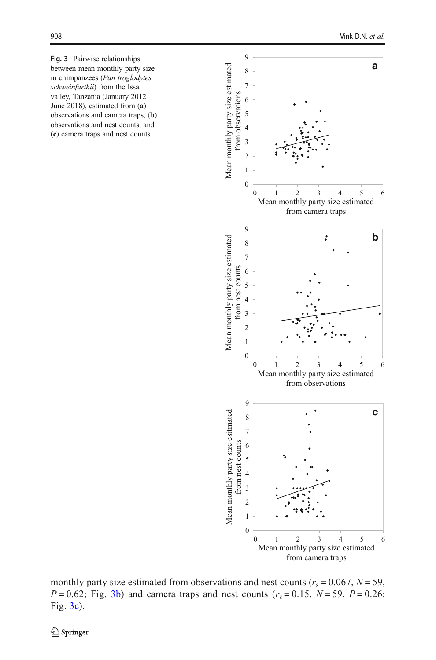<span id="page-8-0"></span>Fig. 3 Pairwise relationships between mean monthly party size in chimpanzees (Pan troglodytes schweinfurthii) from the Issa valley, Tanzania (January 2012– June 2018), estimated from (a) observations and camera traps, (b) observations and nest counts, and (c) camera traps and nest counts.



monthly party size estimated from observations and nest counts ( $r_s = 0.067$ ,  $N = 59$ ,  $P = 0.62$ ; Fig. 3b) and camera traps and nest counts ( $r_s = 0.15$ ,  $N = 59$ ,  $P = 0.26$ ; Fig. 3c).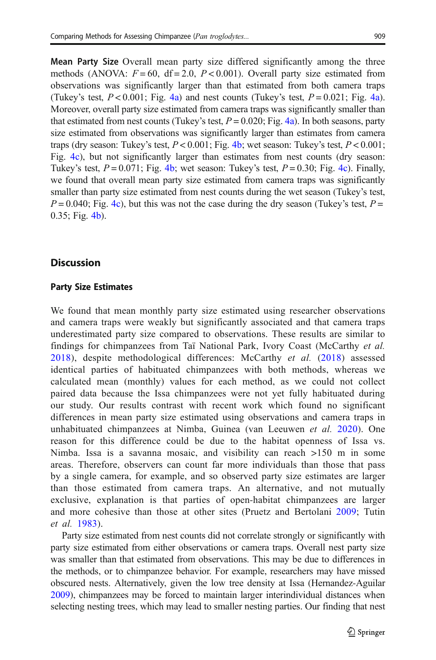Mean Party Size Overall mean party size differed significantly among the three methods (ANOVA:  $F = 60$ , df = 2.0,  $P < 0.001$ ). Overall party size estimated from observations was significantly larger than that estimated from both camera traps (Tukey's test,  $P < 0.001$ ; Fig. [4a](#page-10-0)) and nest counts (Tukey's test,  $P = 0.021$ ; Fig. [4a\)](#page-10-0). Moreover, overall party size estimated from camera traps was significantly smaller than that estimated from nest counts (Tukey's test,  $P = 0.020$ ; Fig. [4a\)](#page-10-0). In both seasons, party size estimated from observations was significantly larger than estimates from camera traps (dry season: Tukey's test,  $P < 0.001$ ; Fig. [4b;](#page-10-0) wet season: Tukey's test,  $P < 0.001$ ; Fig. [4c](#page-10-0)), but not significantly larger than estimates from nest counts (dry season: Tukey's test,  $P = 0.071$ ; Fig. [4b;](#page-10-0) wet season: Tukey's test,  $P = 0.30$ ; Fig. [4c](#page-10-0)). Finally, we found that overall mean party size estimated from camera traps was significantly smaller than party size estimated from nest counts during the wet season (Tukey's test,  $P = 0.040$ ; Fig. [4c](#page-10-0)), but this was not the case during the dry season (Tukey's test,  $P =$ 0.35; Fig. [4b\)](#page-10-0).

#### **Discussion**

#### Party Size Estimates

We found that mean monthly party size estimated using researcher observations and camera traps were weakly but significantly associated and that camera traps underestimated party size compared to observations. These results are similar to findings for chimpanzees from Taï National Park, Ivory Coast (McCarthy et al. [2018\)](#page-14-0), despite methodological differences: McCarthy *et al.* ([2018](#page-14-0)) assessed identical parties of habituated chimpanzees with both methods, whereas we calculated mean (monthly) values for each method, as we could not collect paired data because the Issa chimpanzees were not yet fully habituated during our study. Our results contrast with recent work which found no significant differences in mean party size estimated using observations and camera traps in unhabituated chimpanzees at Nimba, Guinea (van Leeuwen et al. [2020\)](#page-13-0). One reason for this difference could be due to the habitat openness of Issa vs. Nimba. Issa is a savanna mosaic, and visibility can reach >150 m in some areas. Therefore, observers can count far more individuals than those that pass by a single camera, for example, and so observed party size estimates are larger than those estimated from camera traps. An alternative, and not mutually exclusive, explanation is that parties of open-habitat chimpanzees are larger and more cohesive than those at other sites (Pruetz and Bertolani [2009](#page-14-0); Tutin et al. [1983](#page-14-0)).

Party size estimated from nest counts did not correlate strongly or significantly with party size estimated from either observations or camera traps. Overall nest party size was smaller than that estimated from observations. This may be due to differences in the methods, or to chimpanzee behavior. For example, researchers may have missed obscured nests. Alternatively, given the low tree density at Issa (Hernandez-Aguilar [2009\)](#page-13-0), chimpanzees may be forced to maintain larger interindividual distances when selecting nesting trees, which may lead to smaller nesting parties. Our finding that nest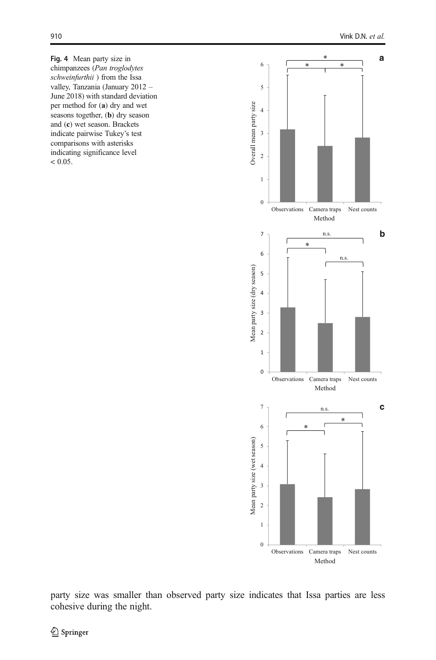<span id="page-10-0"></span>Fig. 4 Mean party size in chimpanzees (Pan troglodytes schweinfurthii) from the Issa valley, Tanzania (January 2012 – June 2018) with standard deviation per method for (a) dry and wet seasons together, (**b**) dry season and (c) wet season. Brackets indicate pairwise Tukey's test comparisons with asterisks indicating significance level  $< 0.05$ .



party size was smaller than observed party size indicates that Issa parties are less cohesive during the night.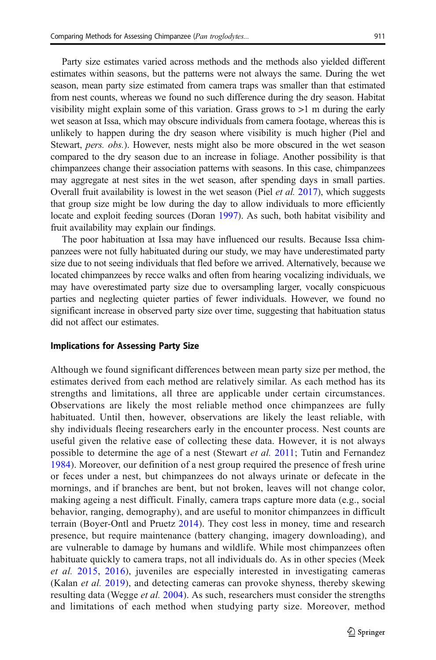Party size estimates varied across methods and the methods also yielded different estimates within seasons, but the patterns were not always the same. During the wet season, mean party size estimated from camera traps was smaller than that estimated from nest counts, whereas we found no such difference during the dry season. Habitat visibility might explain some of this variation. Grass grows to  $>1$  m during the early wet season at Issa, which may obscure individuals from camera footage, whereas this is unlikely to happen during the dry season where visibility is much higher (Piel and Stewart, pers. obs.). However, nests might also be more obscured in the wet season compared to the dry season due to an increase in foliage. Another possibility is that chimpanzees change their association patterns with seasons. In this case, chimpanzees may aggregate at nest sites in the wet season, after spending days in small parties. Overall fruit availability is lowest in the wet season (Piel et al. [2017](#page-14-0)), which suggests that group size might be low during the day to allow individuals to more efficiently locate and exploit feeding sources (Doran [1997\)](#page-13-0). As such, both habitat visibility and fruit availability may explain our findings.

The poor habituation at Issa may have influenced our results. Because Issa chimpanzees were not fully habituated during our study, we may have underestimated party size due to not seeing individuals that fled before we arrived. Alternatively, because we located chimpanzees by recce walks and often from hearing vocalizing individuals, we may have overestimated party size due to oversampling larger, vocally conspicuous parties and neglecting quieter parties of fewer individuals. However, we found no significant increase in observed party size over time, suggesting that habituation status did not affect our estimates.

#### Implications for Assessing Party Size

Although we found significant differences between mean party size per method, the estimates derived from each method are relatively similar. As each method has its strengths and limitations, all three are applicable under certain circumstances. Observations are likely the most reliable method once chimpanzees are fully habituated. Until then, however, observations are likely the least reliable, with shy individuals fleeing researchers early in the encounter process. Nest counts are useful given the relative ease of collecting these data. However, it is not always possible to determine the age of a nest (Stewart *et al.* [2011](#page-14-0); Tutin and Fernandez [1984](#page-14-0)). Moreover, our definition of a nest group required the presence of fresh urine or feces under a nest, but chimpanzees do not always urinate or defecate in the mornings, and if branches are bent, but not broken, leaves will not change color, making ageing a nest difficult. Finally, camera traps capture more data (e.g., social behavior, ranging, demography), and are useful to monitor chimpanzees in difficult terrain (Boyer-Ontl and Pruetz [2014](#page-13-0)). They cost less in money, time and research presence, but require maintenance (battery changing, imagery downloading), and are vulnerable to damage by humans and wildlife. While most chimpanzees often habituate quickly to camera traps, not all individuals do. As in other species (Meek et al. [2015,](#page-14-0) [2016](#page-14-0)), juveniles are especially interested in investigating cameras (Kalan *et al.* [2019](#page-13-0)), and detecting cameras can provoke shyness, thereby skewing resulting data (Wegge *et al.* [2004\)](#page-15-0). As such, researchers must consider the strengths and limitations of each method when studying party size. Moreover, method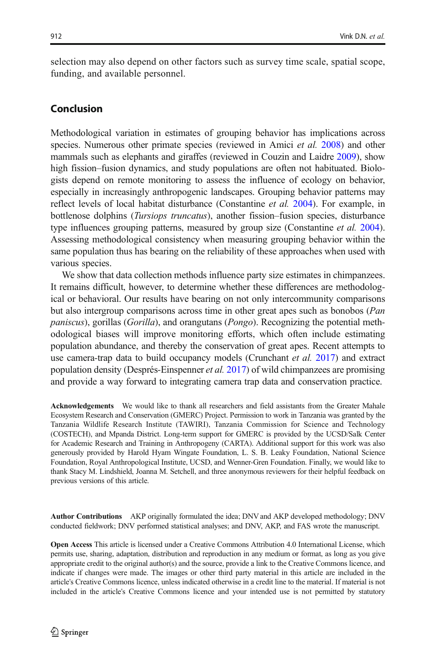selection may also depend on other factors such as survey time scale, spatial scope, funding, and available personnel.

#### Conclusion

Methodological variation in estimates of grouping behavior has implications across species. Numerous other primate species (reviewed in Amici *et al.* [2008\)](#page-13-0) and other mammals such as elephants and giraffes (reviewed in Couzin and Laidre [2009](#page-13-0)), show high fission–fusion dynamics, and study populations are often not habituated. Biologists depend on remote monitoring to assess the influence of ecology on behavior, especially in increasingly anthropogenic landscapes. Grouping behavior patterns may reflect levels of local habitat disturbance (Constantine et al. [2004](#page-13-0)). For example, in bottlenose dolphins (Tursiops truncatus), another fission–fusion species, disturbance type influences grouping patterns, measured by group size (Constantine *et al.* [2004\)](#page-13-0). Assessing methodological consistency when measuring grouping behavior within the same population thus has bearing on the reliability of these approaches when used with various species.

We show that data collection methods influence party size estimates in chimpanzees. It remains difficult, however, to determine whether these differences are methodological or behavioral. Our results have bearing on not only intercommunity comparisons but also intergroup comparisons across time in other great apes such as bonobos (Pan paniscus), gorillas (Gorilla), and orangutans (Pongo). Recognizing the potential methodological biases will improve monitoring efforts, which often include estimating population abundance, and thereby the conservation of great apes. Recent attempts to use camera-trap data to build occupancy models (Crunchant *et al.* [2017\)](#page-13-0) and extract population density (Després-Einspenner et al. [2017](#page-13-0)) of wild chimpanzees are promising and provide a way forward to integrating camera trap data and conservation practice.

Acknowledgements We would like to thank all researchers and field assistants from the Greater Mahale Ecosystem Research and Conservation (GMERC) Project. Permission to work in Tanzania was granted by the Tanzania Wildlife Research Institute (TAWIRI), Tanzania Commission for Science and Technology (COSTECH), and Mpanda District. Long-term support for GMERC is provided by the UCSD/Salk Center for Academic Research and Training in Anthropogeny (CARTA). Additional support for this work was also generously provided by Harold Hyam Wingate Foundation, L. S. B. Leaky Foundation, National Science Foundation, Royal Anthropological Institute, UCSD, and Wenner-Gren Foundation. Finally, we would like to thank Stacy M. Lindshield, Joanna M. Setchell, and three anonymous reviewers for their helpful feedback on previous versions of this article.

Author Contributions AKP originally formulated the idea; DNV and AKP developed methodology; DNV conducted fieldwork; DNV performed statistical analyses; and DNV, AKP, and FAS wrote the manuscript.

Open Access This article is licensed under a Creative Commons Attribution 4.0 International License, which permits use, sharing, adaptation, distribution and reproduction in any medium or format, as long as you give appropriate credit to the original author(s) and the source, provide a link to the Creative Commons licence, and indicate if changes were made. The images or other third party material in this article are included in the article's Creative Commons licence, unless indicated otherwise in a credit line to the material. If material is not included in the article's Creative Commons licence and your intended use is not permitted by statutory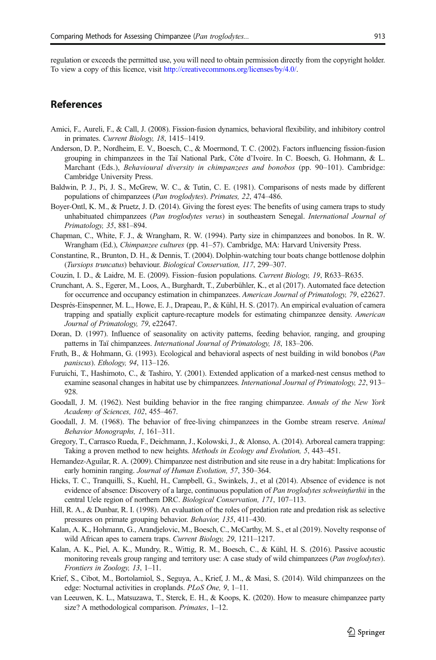<span id="page-13-0"></span>regulation or exceeds the permitted use, you will need to obtain permission directly from the copyright holder. To view a copy of this licence, visit [http://creativecommons.org/licenses/by/4.0/.](http://creativecommons.org/licenses/by/4.0/)

#### References

- Amici, F., Aureli, F., & Call, J. (2008). Fission-fusion dynamics, behavioral flexibility, and inhibitory control in primates. Current Biology, 18, 1415–1419.
- Anderson, D. P., Nordheim, E. V., Boesch, C., & Moermond, T. C. (2002). Factors influencing fission-fusion grouping in chimpanzees in the Taï National Park, Côte d'Ivoire. In C. Boesch, G. Hohmann, & L. Marchant (Eds.), Behavioural diversity in chimpanzees and bonobos (pp. 90–101). Cambridge: Cambridge University Press.
- Baldwin, P. J., Pi, J. S., McGrew, W. C., & Tutin, C. E. (1981). Comparisons of nests made by different populations of chimpanzees (Pan troglodytes). Primates, 22, 474–486.
- Boyer-Ontl, K. M., & Pruetz, J. D. (2014). Giving the forest eyes: The benefits of using camera traps to study unhabituated chimpanzees (Pan troglodytes verus) in southeastern Senegal. International Journal of Primatology, 35, 881–894.
- Chapman, C., White, F. J., & Wrangham, R. W. (1994). Party size in chimpanzees and bonobos. In R. W. Wrangham (Ed.), Chimpanzee cultures (pp. 41–57). Cambridge, MA: Harvard University Press.
- Constantine, R., Brunton, D. H., & Dennis, T. (2004). Dolphin-watching tour boats change bottlenose dolphin (Tursiops truncatus) behaviour. Biological Conservation, 117, 299–307.
- Couzin, I. D., & Laidre, M. E. (2009). Fission–fusion populations. Current Biology, 19, R633–R635.
- Crunchant, A. S., Egerer, M., Loos, A., Burghardt, T., Zuberbühler, K., et al (2017). Automated face detection for occurrence and occupancy estimation in chimpanzees. American Journal of Primatology, 79, e22627.
- Després-Einspenner, M. L., Howe, E. J., Drapeau, P., & Kühl, H. S. (2017). An empirical evaluation of camera trapping and spatially explicit capture-recapture models for estimating chimpanzee density. American Journal of Primatology, 79, e22647.
- Doran, D. (1997). Influence of seasonality on activity patterns, feeding behavior, ranging, and grouping patterns in Taï chimpanzees. International Journal of Primatology, 18, 183–206.
- Fruth, B., & Hohmann, G. (1993). Ecological and behavioral aspects of nest building in wild bonobos (Pan paniscus). Ethology, 94, 113–126.
- Furuichi, T., Hashimoto, C., & Tashiro, Y. (2001). Extended application of a marked-nest census method to examine seasonal changes in habitat use by chimpanzees. *International Journal of Primatology*, 22, 913– 928.
- Goodall, J. M. (1962). Nest building behavior in the free ranging chimpanzee. Annals of the New York Academy of Sciences, 102, 455–467.
- Goodall, J. M. (1968). The behavior of free-living chimpanzees in the Gombe stream reserve. Animal Behavior Monographs, 1, 161–311.
- Gregory, T., Carrasco Rueda, F., Deichmann, J., Kolowski, J., & Alonso, A. (2014). Arboreal camera trapping: Taking a proven method to new heights. Methods in Ecology and Evolution, 5, 443–451.
- Hernandez-Aguilar, R. A. (2009). Chimpanzee nest distribution and site reuse in a dry habitat: Implications for early hominin ranging. Journal of Human Evolution, 57, 350–364.
- Hicks, T. C., Tranquilli, S., Kuehl, H., Campbell, G., Swinkels, J., et al (2014). Absence of evidence is not evidence of absence: Discovery of a large, continuous population of Pan troglodytes schweinfurthii in the central Uele region of northern DRC. Biological Conservation, 171, 107–113.
- Hill, R. A., & Dunbar, R. I. (1998). An evaluation of the roles of predation rate and predation risk as selective pressures on primate grouping behavior. Behavior, 135, 411–430.
- Kalan, A. K., Hohmann, G., Arandjelovic, M., Boesch, C., McCarthy, M. S., et al (2019). Novelty response of wild African apes to camera traps. Current Biology, 29, 1211–1217.
- Kalan, A. K., Piel, A. K., Mundry, R., Wittig, R. M., Boesch, C., & Kühl, H. S. (2016). Passive acoustic monitoring reveals group ranging and territory use: A case study of wild chimpanzees (Pan troglodytes). Frontiers in Zoology, 13, 1–11.
- Krief, S., Cibot, M., Bortolamiol, S., Seguya, A., Krief, J. M., & Masi, S. (2014). Wild chimpanzees on the edge: Nocturnal activities in croplands. PLoS One, 9, 1–11.
- van Leeuwen, K. L., Matsuzawa, T., Sterck, E. H., & Koops, K. (2020). How to measure chimpanzee party size? A methodological comparison. Primates, 1-12.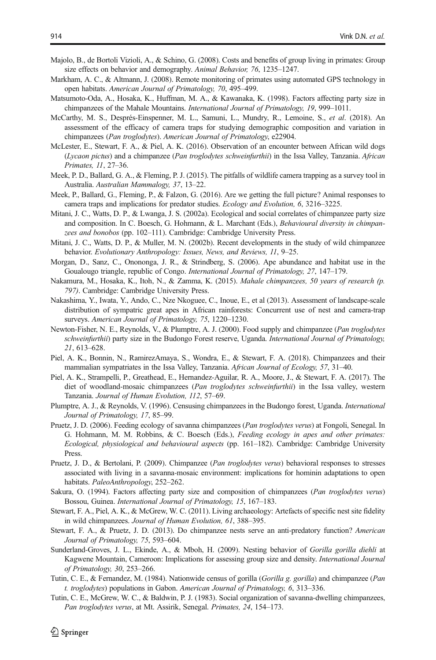- <span id="page-14-0"></span>Majolo, B., de Bortoli Vizioli, A., & Schino, G. (2008). Costs and benefits of group living in primates: Group size effects on behavior and demography. Animal Behavior, 76, 1235–1247.
- Markham, A. C., & Altmann, J. (2008). Remote monitoring of primates using automated GPS technology in open habitats. American Journal of Primatology, 70, 495–499.
- Matsumoto-Oda, A., Hosaka, K., Huffman, M. A., & Kawanaka, K. (1998). Factors affecting party size in chimpanzees of the Mahale Mountains. International Journal of Primatology, 19, 999–1011.
- McCarthy, M. S., Després-Einspenner, M. L., Samuni, L., Mundry, R., Lemoine, S., et al. (2018). An assessment of the efficacy of camera traps for studying demographic composition and variation in chimpanzees (Pan troglodytes). American Journal of Primatology, e22904.
- McLester, E., Stewart, F. A., & Piel, A. K. (2016). Observation of an encounter between African wild dogs (Lycaon pictus) and a chimpanzee (Pan troglodytes schweinfurthii) in the Issa Valley, Tanzania. African Primates, 11, 27–36.
- Meek, P. D., Ballard, G. A., & Fleming, P. J. (2015). The pitfalls of wildlife camera trapping as a survey tool in Australia. Australian Mammalogy, 37, 13–22.
- Meek, P., Ballard, G., Fleming, P., & Falzon, G. (2016). Are we getting the full picture? Animal responses to camera traps and implications for predator studies. Ecology and Evolution, 6, 3216–3225.
- Mitani, J. C., Watts, D. P., & Lwanga, J. S. (2002a). Ecological and social correlates of chimpanzee party size and composition. In C. Boesch, G. Hohmann, & L. Marchant (Eds.), Behavioural diversity in chimpanzees and bonobos (pp. 102–111). Cambridge: Cambridge University Press.
- Mitani, J. C., Watts, D. P., & Muller, M. N. (2002b). Recent developments in the study of wild chimpanzee behavior. Evolutionary Anthropology: Issues, News, and Reviews, 11, 9–25.
- Morgan, D., Sanz, C., Onononga, J. R., & Strindberg, S. (2006). Ape abundance and habitat use in the Goualougo triangle, republic of Congo. International Journal of Primatology, 27, 147–179.
- Nakamura, M., Hosaka, K., Itoh, N., & Zamma, K. (2015). Mahale chimpanzees, 50 years of research (p. 797). Cambridge: Cambridge University Press.
- Nakashima, Y., Iwata, Y., Ando, C., Nze Nkoguee, C., Inoue, E., et al (2013). Assessment of landscape-scale distribution of sympatric great apes in African rainforests: Concurrent use of nest and camera-trap surveys. American Journal of Primatology, 75, 1220–1230.
- Newton-Fisher, N. E., Reynolds, V., & Plumptre, A. J. (2000). Food supply and chimpanzee (Pan troglodytes schweinfurthii) party size in the Budongo Forest reserve, Uganda. International Journal of Primatology, 21, 613–628.
- Piel, A. K., Bonnin, N., RamirezAmaya, S., Wondra, E., & Stewart, F. A. (2018). Chimpanzees and their mammalian sympatriates in the Issa Valley, Tanzania. African Journal of Ecology, 57, 31–40.
- Piel, A. K., Strampelli, P., Greathead, E., Hernandez-Aguilar, R. A., Moore, J., & Stewart, F. A. (2017). The diet of woodland-mosaic chimpanzees (*Pan troglodytes schweinfurthii*) in the Issa valley, western Tanzania. Journal of Human Evolution, 112, 57–69.
- Plumptre, A. J., & Reynolds, V. (1996). Censusing chimpanzees in the Budongo forest, Uganda. International Journal of Primatology, 17, 85–99.
- Pruetz, J. D. (2006). Feeding ecology of savanna chimpanzees (Pan troglodytes verus) at Fongoli, Senegal. In G. Hohmann, M. M. Robbins, & C. Boesch (Eds.), Feeding ecology in apes and other primates: Ecological, physiological and behavioural aspects (pp. 161–182). Cambridge: Cambridge University Press.
- Pruetz, J. D., & Bertolani, P. (2009). Chimpanzee (Pan troglodytes verus) behavioral responses to stresses associated with living in a savanna-mosaic environment: implications for hominin adaptations to open habitats. PaleoAnthropology, 252-262.
- Sakura, O. (1994). Factors affecting party size and composition of chimpanzees (Pan troglodytes verus) Bossou, Guinea. International Journal of Primatology, 15, 167–183.
- Stewart, F. A., Piel, A. K., & McGrew, W. C. (2011). Living archaeology: Artefacts of specific nest site fidelity in wild chimpanzees. Journal of Human Evolution, 61, 388–395.
- Stewart, F. A., & Pruetz, J. D. (2013). Do chimpanzee nests serve an anti-predatory function? American Journal of Primatology, 75, 593–604.
- Sunderland-Groves, J. L., Ekinde, A., & Mboh, H. (2009). Nesting behavior of Gorilla gorilla diehli at Kagwene Mountain, Cameroon: Implications for assessing group size and density. International Journal of Primatology, 30, 253–266.
- Tutin, C. E., & Fernandez, M. (1984). Nationwide census of gorilla (Gorilla g. gorilla) and chimpanzee (Pan t. troglodytes) populations in Gabon. American Journal of Primatology, 6, 313–336.
- Tutin, C. E., McGrew, W. C., & Baldwin, P. J. (1983). Social organization of savanna-dwelling chimpanzees, Pan troglodytes verus, at Mt. Assirik, Senegal. Primates, 24, 154–173.